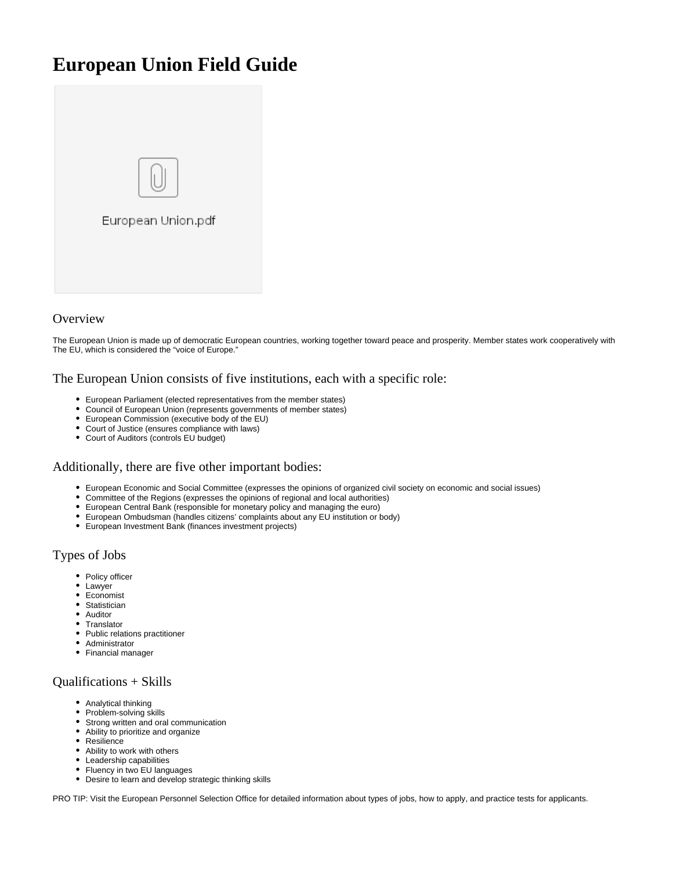# **European Union Field Guide**



## **Overview**

The European Union is made up of democratic European countries, working together toward peace and prosperity. Member states work cooperatively with The EU, which is considered the "voice of Europe."

#### The European Union consists of five institutions, each with a specific role:

- European Parliament (elected representatives from the member states)
- Council of European Union (represents governments of member states)
- European Commission (executive body of the EU)
- Court of Justice (ensures compliance with laws)
- Court of Auditors (controls EU budget)

#### Additionally, there are five other important bodies:

- European Economic and Social Committee (expresses the opinions of organized civil society on economic and social issues)
- Committee of the Regions (expresses the opinions of regional and local authorities)
- European Central Bank (responsible for monetary policy and managing the euro)
- European Ombudsman (handles citizens' complaints about any EU institution or body)
- European Investment Bank (finances investment projects)

# Types of Jobs

- Policy officer
- Lawyer
- Economist
- Statistician
- Auditor
- Translator • Public relations practitioner
- Administrator
- Financial manager

#### Qualifications + Skills

- Analytical thinking
- Problem-solving skills
- Strong written and oral communication
- Ability to prioritize and organize
- Resilience
- Ability to work with others
- Leadership capabilities
- Fluency in two EU languages
- Desire to learn and develop strategic thinking skills

PRO TIP: Visit the European Personnel Selection Office for detailed information about types of jobs, how to apply, and practice tests for applicants.